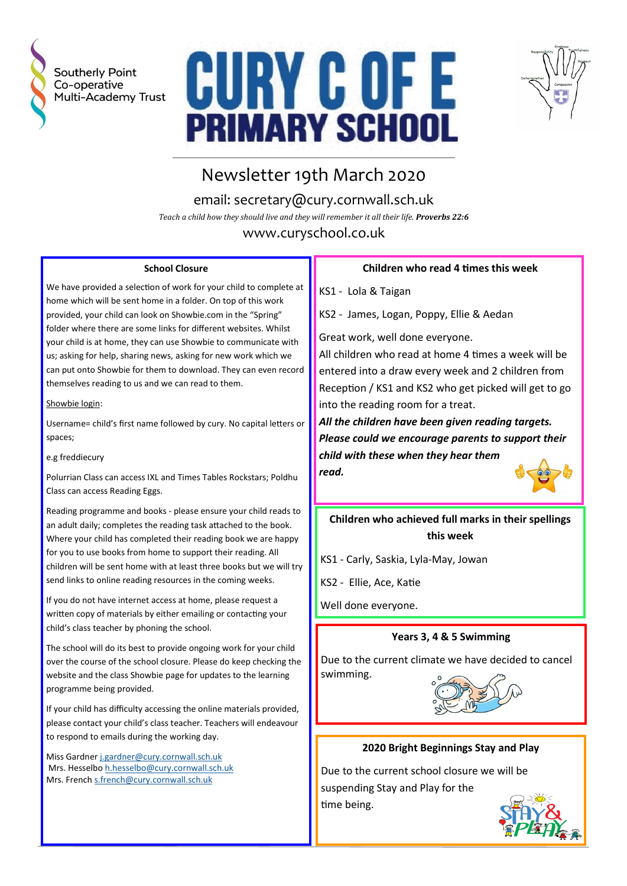

Southerly Point Co-operative Multi-Academy Trust





# Newsletter 19th March 2020

email: secretary@cury.cornwall.sch.uk *Teach a child how they should live and they will remember it all their life. Proverbs 22:6*

www.curyschool.co.uk

#### **School Closure**

We have provided a selection of work for your child to complete at home which will be sent home in a folder. On top of this work provided, your child can look on Showbie.com in the "Spring" folder where there are some links for different websites. Whilst your child is at home, they can use Showbie to communicate with us; asking for help, sharing news, asking for new work which we can put onto Showbie for them to download. They can even record themselves reading to us and we can read to them.

#### Showbie login:

Username= child's first name followed by cury. No capital letters or spaces;

e.g freddiecury

Polurrian Class can access IXL and Times Tables Rockstars; Poldhu Class can access Reading Eggs.

Reading programme and books - please ensure your child reads to an adult daily; completes the reading task attached to the book. Where your child has completed their reading book we are happy for you to use books from home to support their reading. All children will be sent home with at least three books but we will try send links to online reading resources in the coming weeks.

If you do not have internet access at home, please request a written copy of materials by either emailing or contacting your child's class teacher by phoning the school.

The school will do its best to provide ongoing work for your child over the course of the school closure. Please do keep checking the website and the class Showbie page for updates to the learning programme being provided.

If your child has difficulty accessing the online materials provided, please contact your child's class teacher. Teachers will endeavour to respond to emails during the working day.

Miss Gardner [j.gardner@cury.cornwall.sch.uk](mailto:j.gardner@cury.cornwall.sch.uk) Mrs. Hesselbo [h.hesselbo@cury.cornwall.sch.uk](mailto:h.hesselbo@cury.cornwall.sch.uk) Mrs. French [s.french@cury.cornwall.sch.uk](mailto:s.french@cury.cornwall.sch.uk)

## **Children who read 4 times this week**

KS1 - Lola & Taigan

KS2 - James, Logan, Poppy, Ellie & Aedan

Great work, well done everyone.

All children who read at home 4 times a week will be entered into a draw every week and 2 children from Reception / KS1 and KS2 who get picked will get to go into the reading room for a treat.

*All the children have been given reading targets. Please could we encourage parents to support their child with these when they hear them read.*



# **Children who achieved full marks in their spellings this week**

KS1 - Carly, Saskia, Lyla-May, Jowan

KS2 - Ellie, Ace, Katie

Well done everyone.

## **Years 3, 4 & 5 Swimming**

Due to the current climate we have decided to cancel swimming.



## **2020 Bright Beginnings Stay and Play**

Due to the current school closure we will be suspending Stay and Play for the time being.